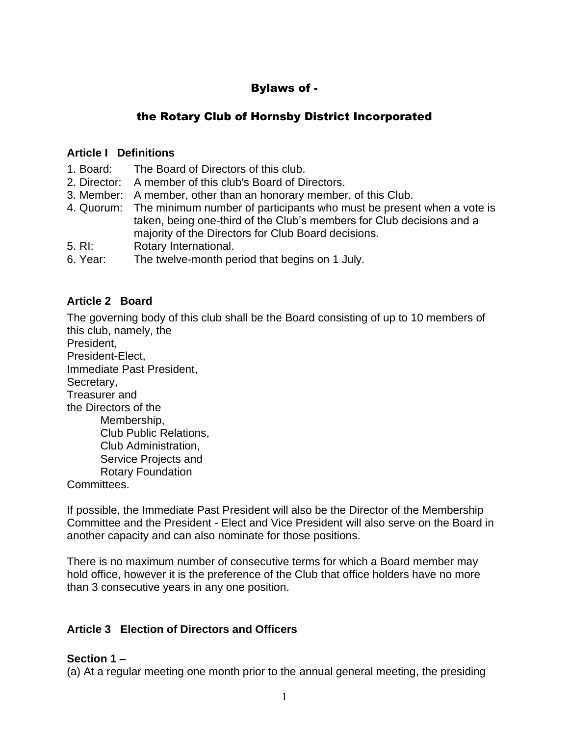# Bylaws of -

# the Rotary Club of Hornsby District Incorporated

## **Article I Definitions**

- 1. Board: The Board of Directors of this club.
- 2. Director: A member of this club's Board of Directors.
- 3. Member: A member, other than an honorary member, of this Club.
- 4. Quorum: The minimum number of participants who must be present when a vote is taken, being one-third of the Club's members for Club decisions and a majority of the Directors for Club Board decisions.
- 5. RI: Rotary International.
- 6. Year: The twelve-month period that begins on 1 July.

# **Article 2 Board**

The governing body of this club shall be the Board consisting of up to 10 members of this club, namely, the

President, President-Elect, Immediate Past President, Secretary, Treasurer and the Directors of the Membership, Club Public Relations, Club Administration, Service Projects and Rotary Foundation

Committees.

If possible, the Immediate Past President will also be the Director of the Membership Committee and the President - Elect and Vice President will also serve on the Board in another capacity and can also nominate for those positions.

There is no maximum number of consecutive terms for which a Board member may hold office, however it is the preference of the Club that office holders have no more than 3 consecutive years in any one position.

# **Article 3 Election of Directors and Officers**

# **Section 1 –**

(a) At a regular meeting one month prior to the annual general meeting, the presiding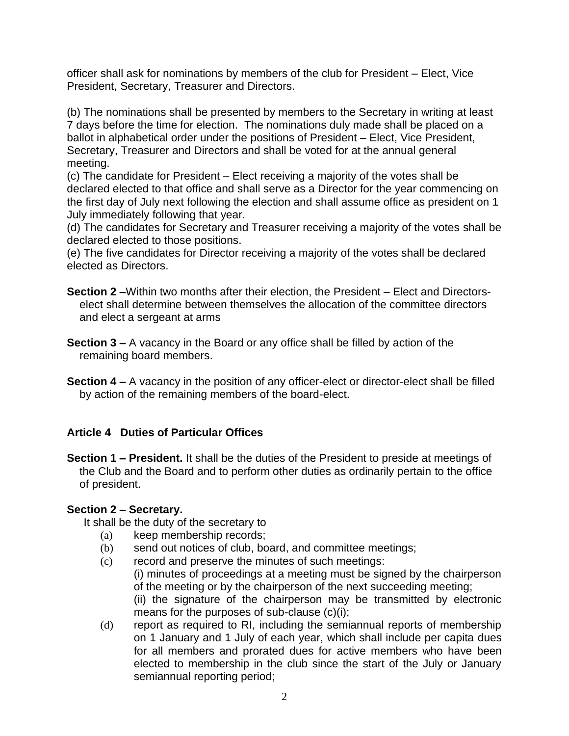officer shall ask for nominations by members of the club for President – Elect, Vice President, Secretary, Treasurer and Directors.

(b) The nominations shall be presented by members to the Secretary in writing at least 7 days before the time for election. The nominations duly made shall be placed on a ballot in alphabetical order under the positions of President – Elect, Vice President, Secretary, Treasurer and Directors and shall be voted for at the annual general meeting.

(c) The candidate for President – Elect receiving a majority of the votes shall be declared elected to that office and shall serve as a Director for the year commencing on the first day of July next following the election and shall assume office as president on 1 July immediately following that year.

(d) The candidates for Secretary and Treasurer receiving a majority of the votes shall be declared elected to those positions.

(e) The five candidates for Director receiving a majority of the votes shall be declared elected as Directors.

- **Section 2 –**Within two months after their election, the President Elect and Directorselect shall determine between themselves the allocation of the committee directors and elect a sergeant at arms
- **Section 3 –** A vacancy in the Board or any office shall be filled by action of the remaining board members.
- **Section 4 –** A vacancy in the position of any officer-elect or director-elect shall be filled by action of the remaining members of the board-elect.

# **Article 4 Duties of Particular Offices**

**Section 1 – President.** It shall be the duties of the President to preside at meetings of the Club and the Board and to perform other duties as ordinarily pertain to the office of president.

# **Section 2 – Secretary.**

It shall be the duty of the secretary to

- (a) keep membership records;
- (b) send out notices of club, board, and committee meetings;
- (c) record and preserve the minutes of such meetings: (i) minutes of proceedings at a meeting must be signed by the chairperson of the meeting or by the chairperson of the next succeeding meeting; (ii) the signature of the chairperson may be transmitted by electronic means for the purposes of sub-clause (c)(i);
- (d) report as required to RI, including the semiannual reports of membership on 1 January and 1 July of each year, which shall include per capita dues for all members and prorated dues for active members who have been elected to membership in the club since the start of the July or January semiannual reporting period;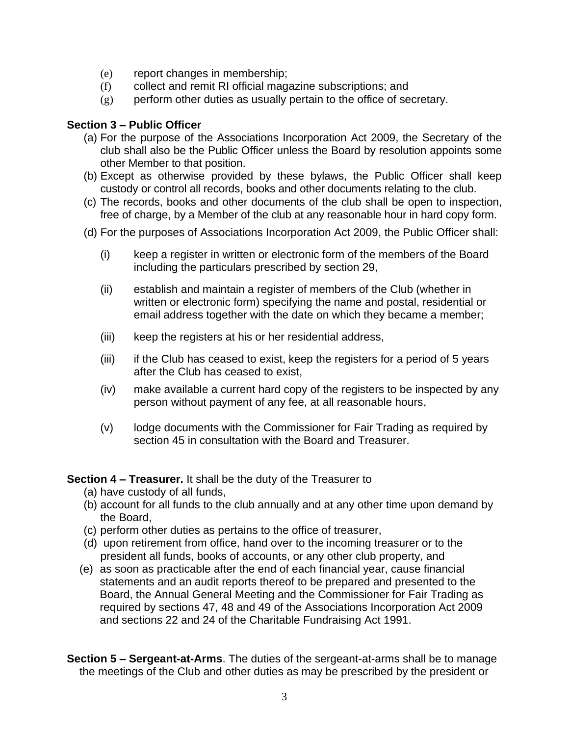- (e) report changes in membership;
- (f) collect and remit RI official magazine subscriptions; and
- $(g)$  perform other duties as usually pertain to the office of secretary.

# **Section 3 – Public Officer**

- (a) For the purpose of the Associations Incorporation Act 2009, the Secretary of the club shall also be the Public Officer unless the Board by resolution appoints some other Member to that position.
- (b) Except as otherwise provided by these bylaws, the Public Officer shall keep custody or control all records, books and other documents relating to the club.
- (c) The records, books and other documents of the club shall be open to inspection, free of charge, by a Member of the club at any reasonable hour in hard copy form.
- (d) For the purposes of Associations Incorporation Act 2009, the Public Officer shall:
	- (i) keep a register in written or electronic form of the members of the Board including the particulars prescribed by section 29,
	- (ii) establish and maintain a register of members of the Club (whether in written or electronic form) specifying the name and postal, residential or email address together with the date on which they became a member;
	- (iii) keep the registers at his or her residential address,
	- $(iii)$  if the Club has ceased to exist, keep the registers for a period of 5 years after the Club has ceased to exist,
	- (iv) make available a current hard copy of the registers to be inspected by any person without payment of any fee, at all reasonable hours,
	- (v) lodge documents with the Commissioner for Fair Trading as required by section 45 in consultation with the Board and Treasurer.

**Section 4 – Treasurer.** It shall be the duty of the Treasurer to

- (a) have custody of all funds,
- (b) account for all funds to the club annually and at any other time upon demand by the Board,
- (c) perform other duties as pertains to the office of treasurer,
- (d) upon retirement from office, hand over to the incoming treasurer or to the president all funds, books of accounts, or any other club property, and
- (e) as soon as practicable after the end of each financial year, cause financial statements and an audit reports thereof to be prepared and presented to the Board, the Annual General Meeting and the Commissioner for Fair Trading as required by sections 47, 48 and 49 of the Associations Incorporation Act 2009 and sections 22 and 24 of the Charitable Fundraising Act 1991.

**Section 5 – Sergeant-at-Arms**. The duties of the sergeant-at-arms shall be to manage the meetings of the Club and other duties as may be prescribed by the president or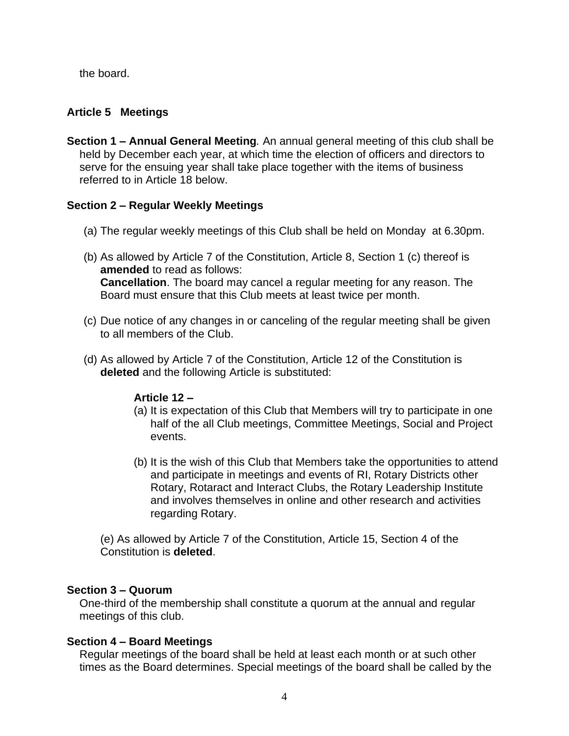the board.

## **Article 5 Meetings**

**Section 1 – Annual General Meeting***.* An annual general meeting of this club shall be held by December each year, at which time the election of officers and directors to serve for the ensuing year shall take place together with the items of business referred to in Article 18 below.

#### **Section 2 – Regular Weekly Meetings**

- (a) The regular weekly meetings of this Club shall be held on Monday at 6.30pm.
- (b) As allowed by Article 7 of the Constitution, Article 8, Section 1 (c) thereof is **amended** to read as follows: **Cancellation**. The board may cancel a regular meeting for any reason. The Board must ensure that this Club meets at least twice per month.
- (c) Due notice of any changes in or canceling of the regular meeting shall be given to all members of the Club.
- (d) As allowed by Article 7 of the Constitution, Article 12 of the Constitution is **deleted** and the following Article is substituted:

## **Article 12 –**

- (a) It is expectation of this Club that Members will try to participate in one half of the all Club meetings, Committee Meetings, Social and Project events.
- (b) It is the wish of this Club that Members take the opportunities to attend and participate in meetings and events of RI, Rotary Districts other Rotary, Rotaract and Interact Clubs, the Rotary Leadership Institute and involves themselves in online and other research and activities regarding Rotary.

(e) As allowed by Article 7 of the Constitution, Article 15, Section 4 of the Constitution is **deleted**.

## **Section 3 – Quorum**

One-third of the membership shall constitute a quorum at the annual and regular meetings of this club.

## **Section 4 – Board Meetings**

Regular meetings of the board shall be held at least each month or at such other times as the Board determines. Special meetings of the board shall be called by the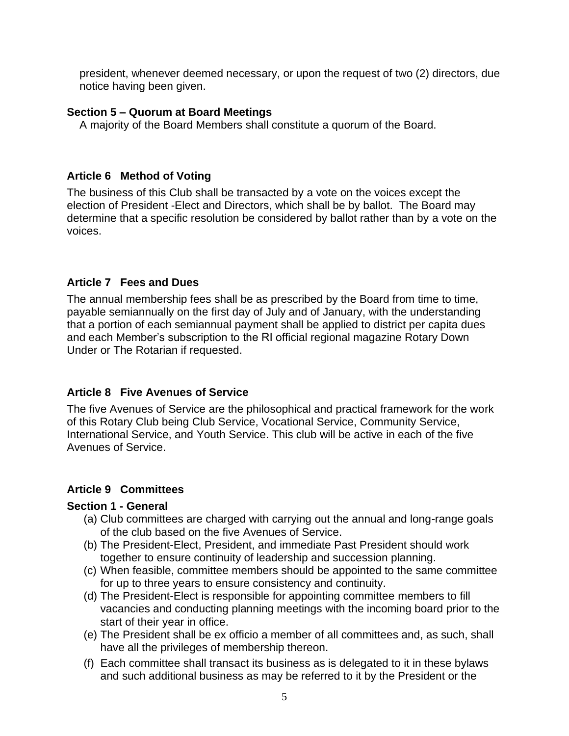president, whenever deemed necessary, or upon the request of two (2) directors, due notice having been given.

#### **Section 5 – Quorum at Board Meetings**

A majority of the Board Members shall constitute a quorum of the Board.

## **Article 6 Method of Voting**

The business of this Club shall be transacted by a vote on the voices except the election of President -Elect and Directors, which shall be by ballot. The Board may determine that a specific resolution be considered by ballot rather than by a vote on the voices.

# **Article 7 Fees and Dues**

The annual membership fees shall be as prescribed by the Board from time to time, payable semiannually on the first day of July and of January, with the understanding that a portion of each semiannual payment shall be applied to district per capita dues and each Member's subscription to the RI official regional magazine Rotary Down Under or The Rotarian if requested.

# **Article 8 Five Avenues of Service**

The five Avenues of Service are the philosophical and practical framework for the work of this Rotary Club being Club Service, Vocational Service, Community Service, International Service, and Youth Service. This club will be active in each of the five Avenues of Service.

# **Article 9 Committees**

## **Section 1 - General**

- (a) Club committees are charged with carrying out the annual and long-range goals of the club based on the five Avenues of Service.
- (b) The President-Elect, President, and immediate Past President should work together to ensure continuity of leadership and succession planning.
- (c) When feasible, committee members should be appointed to the same committee for up to three years to ensure consistency and continuity.
- (d) The President-Elect is responsible for appointing committee members to fill vacancies and conducting planning meetings with the incoming board prior to the start of their year in office.
- (e) The President shall be ex officio a member of all committees and, as such, shall have all the privileges of membership thereon.
- (f) Each committee shall transact its business as is delegated to it in these bylaws and such additional business as may be referred to it by the President or the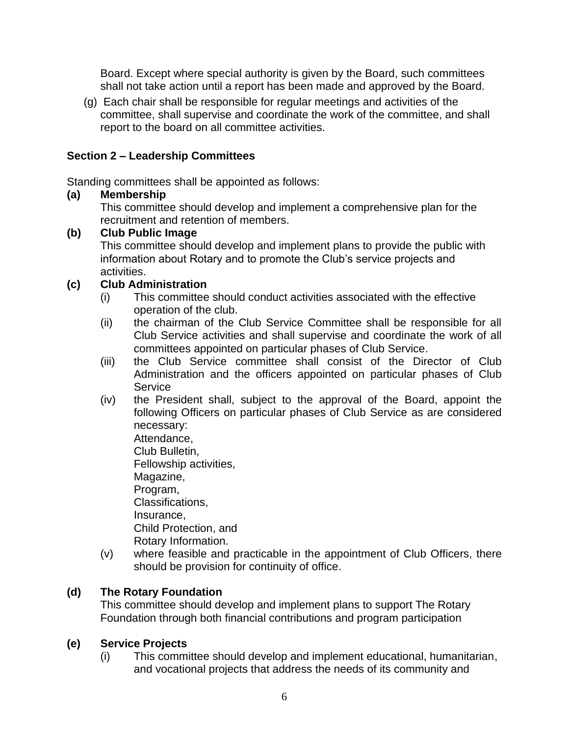Board. Except where special authority is given by the Board, such committees shall not take action until a report has been made and approved by the Board.

(g) Each chair shall be responsible for regular meetings and activities of the committee, shall supervise and coordinate the work of the committee, and shall report to the board on all committee activities.

# **Section 2 – Leadership Committees**

Standing committees shall be appointed as follows:

# **(a) Membership**

This committee should develop and implement a comprehensive plan for the recruitment and retention of members.

# **(b) Club Public Image**

This committee should develop and implement plans to provide the public with information about Rotary and to promote the Club's service projects and activities.

# **(c) Club Administration**

- (i) This committee should conduct activities associated with the effective operation of the club.
- (ii) the chairman of the Club Service Committee shall be responsible for all Club Service activities and shall supervise and coordinate the work of all committees appointed on particular phases of Club Service.
- (iii) the Club Service committee shall consist of the Director of Club Administration and the officers appointed on particular phases of Club **Service**
- (iv) the President shall, subject to the approval of the Board, appoint the following Officers on particular phases of Club Service as are considered necessary:

Attendance, Club Bulletin, Fellowship activities, Magazine, Program, Classifications, Insurance, Child Protection, and Rotary Information.

(v) where feasible and practicable in the appointment of Club Officers, there should be provision for continuity of office.

# **(d) The Rotary Foundation**

This committee should develop and implement plans to support The Rotary Foundation through both financial contributions and program participation

# **(e) Service Projects**

(i) This committee should develop and implement educational, humanitarian, and vocational projects that address the needs of its community and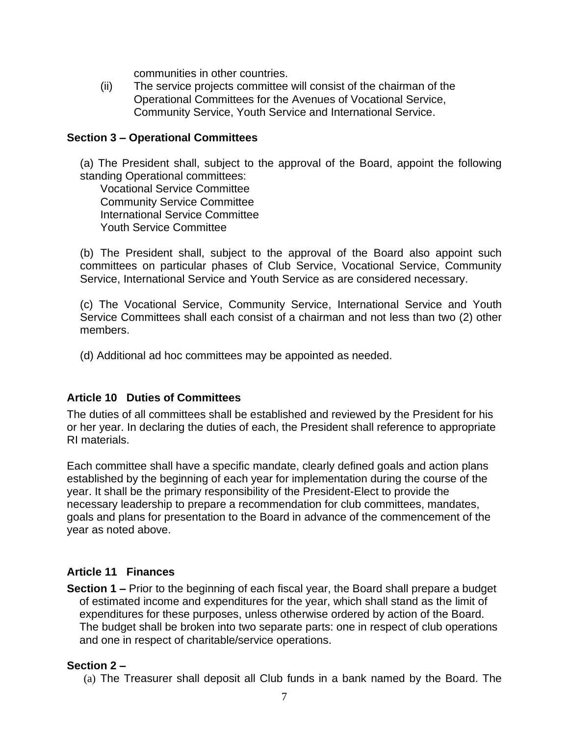communities in other countries.

(ii) The service projects committee will consist of the chairman of the Operational Committees for the Avenues of Vocational Service, Community Service, Youth Service and International Service.

#### **Section 3 – Operational Committees**

(a) The President shall, subject to the approval of the Board, appoint the following standing Operational committees:

Vocational Service Committee Community Service Committee International Service Committee Youth Service Committee

(b) The President shall, subject to the approval of the Board also appoint such committees on particular phases of Club Service, Vocational Service, Community Service, International Service and Youth Service as are considered necessary.

(c) The Vocational Service, Community Service, International Service and Youth Service Committees shall each consist of a chairman and not less than two (2) other members.

(d) Additional ad hoc committees may be appointed as needed.

## **Article 10 Duties of Committees**

The duties of all committees shall be established and reviewed by the President for his or her year. In declaring the duties of each, the President shall reference to appropriate RI materials.

Each committee shall have a specific mandate, clearly defined goals and action plans established by the beginning of each year for implementation during the course of the year. It shall be the primary responsibility of the President-Elect to provide the necessary leadership to prepare a recommendation for club committees, mandates, goals and plans for presentation to the Board in advance of the commencement of the year as noted above.

## **Article 11 Finances**

**Section 1 –** Prior to the beginning of each fiscal year, the Board shall prepare a budget of estimated income and expenditures for the year, which shall stand as the limit of expenditures for these purposes, unless otherwise ordered by action of the Board. The budget shall be broken into two separate parts: one in respect of club operations and one in respect of charitable/service operations.

## **Section 2 –**

(a) The Treasurer shall deposit all Club funds in a bank named by the Board. The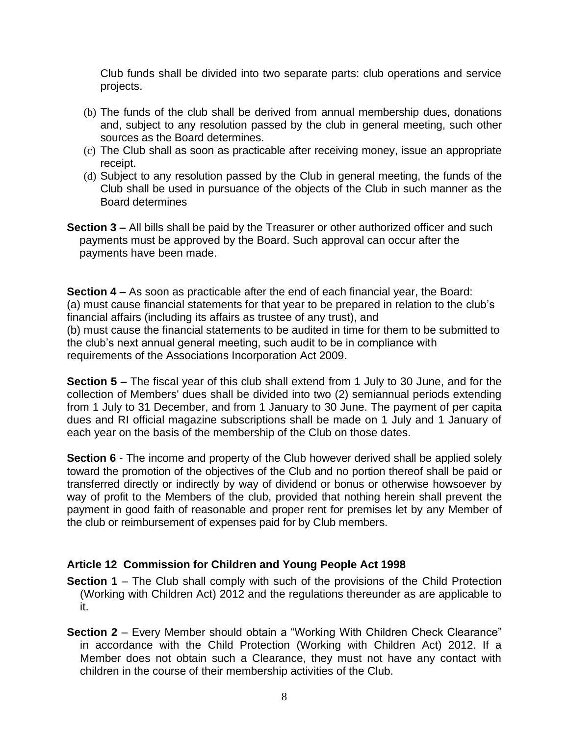Club funds shall be divided into two separate parts: club operations and service projects.

- (b) The funds of the club shall be derived from annual membership dues, donations and, subject to any resolution passed by the club in general meeting, such other sources as the Board determines.
- (c) The Club shall as soon as practicable after receiving money, issue an appropriate receipt.
- (d) Subject to any resolution passed by the Club in general meeting, the funds of the Club shall be used in pursuance of the objects of the Club in such manner as the Board determines
- **Section 3 –** All bills shall be paid by the Treasurer or other authorized officer and such payments must be approved by the Board. Such approval can occur after the payments have been made.

**Section 4 –** As soon as practicable after the end of each financial year, the Board: (a) must cause financial statements for that year to be prepared in relation to the club's financial affairs (including its affairs as trustee of any trust), and (b) must cause the financial statements to be audited in time for them to be submitted to the club's next annual general meeting, such audit to be in compliance with requirements of the Associations Incorporation Act 2009.

**Section 5 –** The fiscal year of this club shall extend from 1 July to 30 June, and for the collection of Members' dues shall be divided into two (2) semiannual periods extending from 1 July to 31 December, and from 1 January to 30 June. The payment of per capita dues and RI official magazine subscriptions shall be made on 1 July and 1 January of each year on the basis of the membership of the Club on those dates.

**Section 6** - The income and property of the Club however derived shall be applied solely toward the promotion of the objectives of the Club and no portion thereof shall be paid or transferred directly or indirectly by way of dividend or bonus or otherwise howsoever by way of profit to the Members of the club, provided that nothing herein shall prevent the payment in good faith of reasonable and proper rent for premises let by any Member of the club or reimbursement of expenses paid for by Club members.

# **Article 12 Commission for Children and Young People Act 1998**

- **Section 1** The Club shall comply with such of the provisions of the Child Protection (Working with Children Act) 2012 and the regulations thereunder as are applicable to it.
- **Section 2** Every Member should obtain a "Working With Children Check Clearance" in accordance with the Child Protection (Working with Children Act) 2012. If a Member does not obtain such a Clearance, they must not have any contact with children in the course of their membership activities of the Club.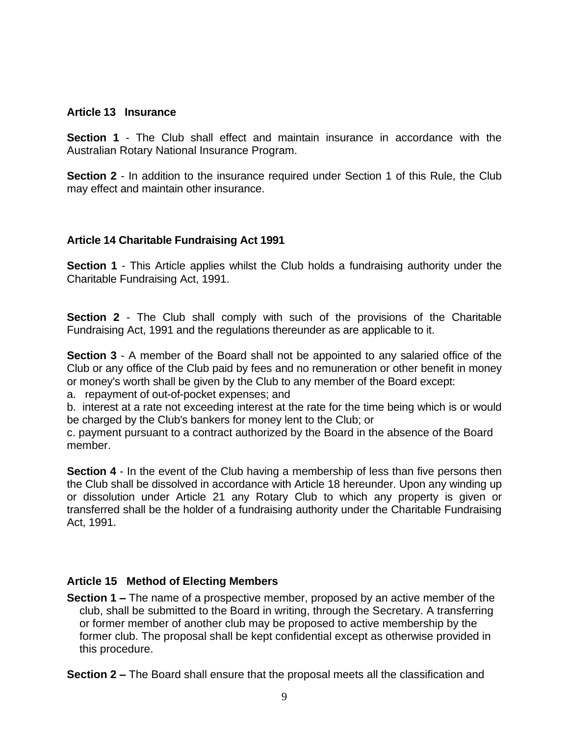#### **Article 13 Insurance**

**Section 1** - The Club shall effect and maintain insurance in accordance with the Australian Rotary National Insurance Program.

**Section 2** - In addition to the insurance required under Section 1 of this Rule, the Club may effect and maintain other insurance.

## **Article 14 Charitable Fundraising Act 1991**

**Section 1** - This Article applies whilst the Club holds a fundraising authority under the Charitable Fundraising Act, 1991.

**Section 2** - The Club shall comply with such of the provisions of the Charitable Fundraising Act, 1991 and the regulations thereunder as are applicable to it.

**Section 3** - A member of the Board shall not be appointed to any salaried office of the Club or any office of the Club paid by fees and no remuneration or other benefit in money or money's worth shall be given by the Club to any member of the Board except:

a. repayment of out-of-pocket expenses; and

b. interest at a rate not exceeding interest at the rate for the time being which is or would be charged by the Club's bankers for money lent to the Club; or

c. payment pursuant to a contract authorized by the Board in the absence of the Board member.

**Section 4** - In the event of the Club having a membership of less than five persons then the Club shall be dissolved in accordance with Article 18 hereunder. Upon any winding up or dissolution under Article 21 any Rotary Club to which any property is given or transferred shall be the holder of a fundraising authority under the Charitable Fundraising Act, 1991.

## **Article 15 Method of Electing Members**

**Section 1 –** The name of a prospective member, proposed by an active member of the club, shall be submitted to the Board in writing, through the Secretary. A transferring or former member of another club may be proposed to active membership by the former club. The proposal shall be kept confidential except as otherwise provided in this procedure.

**Section 2 –** The Board shall ensure that the proposal meets all the classification and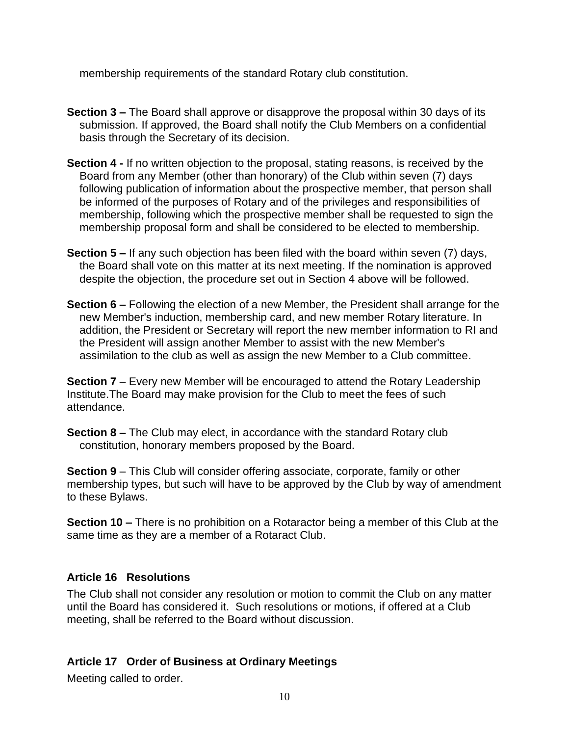membership requirements of the standard Rotary club constitution.

- **Section 3 –** The Board shall approve or disapprove the proposal within 30 days of its submission. If approved, the Board shall notify the Club Members on a confidential basis through the Secretary of its decision.
- **Section 4 -** If no written objection to the proposal, stating reasons, is received by the Board from any Member (other than honorary) of the Club within seven (7) days following publication of information about the prospective member, that person shall be informed of the purposes of Rotary and of the privileges and responsibilities of membership, following which the prospective member shall be requested to sign the membership proposal form and shall be considered to be elected to membership.
- **Section 5 –** If any such objection has been filed with the board within seven (7) days, the Board shall vote on this matter at its next meeting. If the nomination is approved despite the objection, the procedure set out in Section 4 above will be followed.
- **Section 6 –** Following the election of a new Member, the President shall arrange for the new Member's induction, membership card, and new member Rotary literature. In addition, the President or Secretary will report the new member information to RI and the President will assign another Member to assist with the new Member's assimilation to the club as well as assign the new Member to a Club committee.

**Section 7** – Every new Member will be encouraged to attend the Rotary Leadership Institute.The Board may make provision for the Club to meet the fees of such attendance.

**Section 8 –** The Club may elect, in accordance with the standard Rotary club constitution, honorary members proposed by the Board.

**Section 9** – This Club will consider offering associate, corporate, family or other membership types, but such will have to be approved by the Club by way of amendment to these Bylaws.

**Section 10 –** There is no prohibition on a Rotaractor being a member of this Club at the same time as they are a member of a Rotaract Club.

# **Article 16 Resolutions**

The Club shall not consider any resolution or motion to commit the Club on any matter until the Board has considered it. Such resolutions or motions, if offered at a Club meeting, shall be referred to the Board without discussion.

# **Article 17 Order of Business at Ordinary Meetings**

Meeting called to order.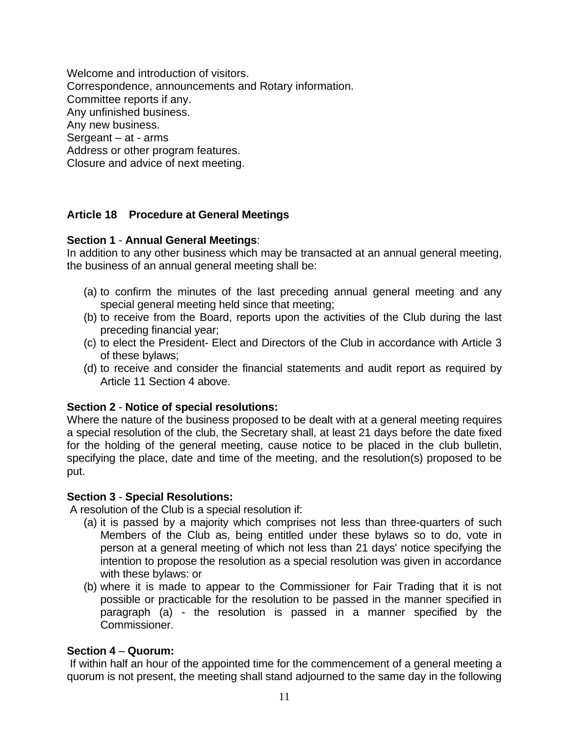Welcome and introduction of visitors. Correspondence, announcements and Rotary information. Committee reports if any. Any unfinished business. Any new business. Sergeant – at - arms Address or other program features. Closure and advice of next meeting.

## **Article 18 Procedure at General Meetings**

## **Section 1** - **Annual General Meetings**:

In addition to any other business which may be transacted at an annual general meeting, the business of an annual general meeting shall be:

- (a) to confirm the minutes of the last preceding annual general meeting and any special general meeting held since that meeting;
- (b) to receive from the Board, reports upon the activities of the Club during the last preceding financial year;
- (c) to elect the President- Elect and Directors of the Club in accordance with Article 3 of these bylaws;
- (d) to receive and consider the financial statements and audit report as required by Article 11 Section 4 above.

## **Section 2** - **Notice of special resolutions:**

Where the nature of the business proposed to be dealt with at a general meeting requires a special resolution of the club, the Secretary shall, at least 21 days before the date fixed for the holding of the general meeting, cause notice to be placed in the club bulletin, specifying the place, date and time of the meeting, and the resolution(s) proposed to be put.

## **Section 3** - **Special Resolutions:**

A resolution of the Club is a special resolution if:

- (a) it is passed by a majority which comprises not less than three-quarters of such Members of the Club as, being entitled under these bylaws so to do, vote in person at a general meeting of which not less than 21 days' notice specifying the intention to propose the resolution as a special resolution was given in accordance with these bylaws: or
- (b) where it is made to appear to the Commissioner for Fair Trading that it is not possible or practicable for the resolution to be passed in the manner specified in paragraph (a) - the resolution is passed in a manner specified by the Commissioner.

## **Section 4** – **Quorum:**

If within half an hour of the appointed time for the commencement of a general meeting a quorum is not present, the meeting shall stand adjourned to the same day in the following